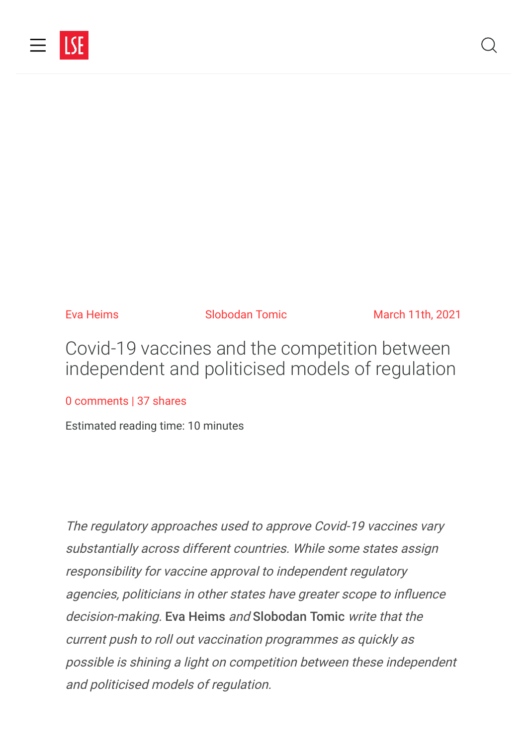

Eva Heims **Slobodan Tomic** March 11th, 2021

Covid-19 vaccines and the competition between independent and politicised models of regulation

[0 comments](#page-7-0) | 37 shares

Estimated reading time: 10 minutes

The regulatory approaches used to approve Covid-19 vaccines vary substantially across different countries. While some states assign responsibility for vaccine approval to independent regulatory agencies, politicians in other states have greater scope to influence decision-making. Eva Heims and Slobodan Tomic write that the current push to roll out vaccination programmes as quickly as possible is shining a light on competition between these independent and politicised models of regulation.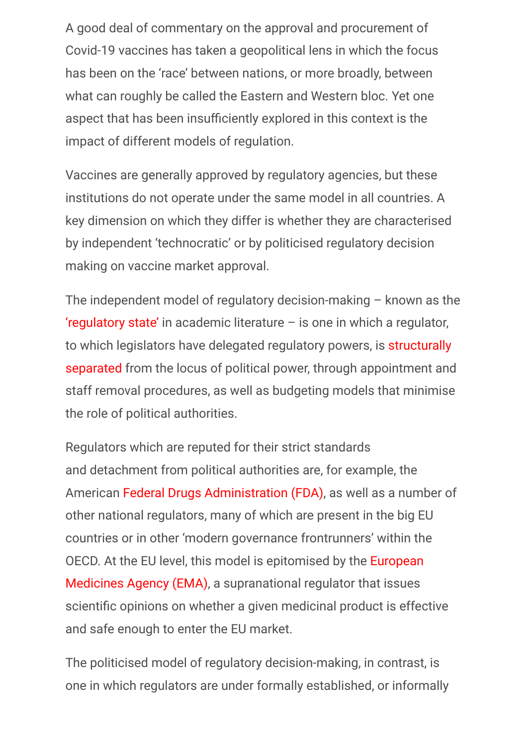A good deal of commentary on the approval and procurement of Covid-19 vaccines has taken a geopolitical lens in which the focus has been on the 'race' between nations, or more broadly, between what can roughly be called the Eastern and Western bloc. Yet one aspect that has been insufficiently explored in this context is the impact of different models of regulation.

Vaccines are generally approved by regulatory agencies, but these institutions do not operate under the same model in all countries. A key dimension on which they differ is whether they are characterised by independent 'technocratic' or by politicised regulatory decision making on vaccine market approval.

The independent model of regulatory decision-making – known as the ['regulatory state'](https://www.taylorfrancis.com/books/regulating-europe-giandomenico-majone/e/10.4324/9780203439197) in academic literature – is one in which a regulator, [to which legislators have delegated regulatory powers, is structurally](https://onlinelibrary.wiley.com/doi/abs/10.1002/pad.316) separated from the locus of political power, through appointment and staff removal procedures, as well as budgeting models that minimise the role of political authorities.

Regulators which are reputed for their strict standards and detachment from political authorities are, for example, the American [Federal Drugs Administration \(FDA\)](https://press.princeton.edu/books/paperback/9780691141800/reputation-and-power), as well as a number of other national regulators, many of which are present in the big EU countries or in other 'modern governance frontrunners' within the [OECD. At the EU level, this model is epitomised by the European](https://www.palgrave.com/gp/book/9783319975764) Medicines Agency (EMA), a supranational regulator that issues scientific opinions on whether a given medicinal product is effective and safe enough to enter the EU market.

The politicised model of regulatory decision-making, in contrast, is one in which regulators are under formally established, or informally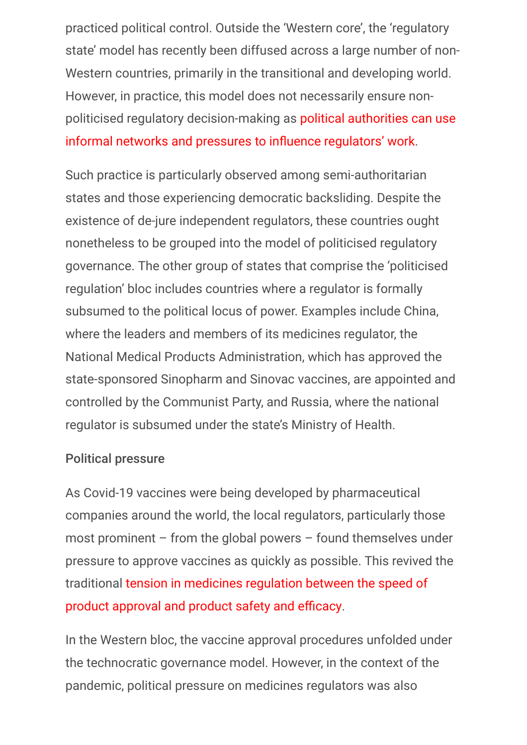practiced political control. Outside the 'Western core', the 'regulatory state' model has recently been diffused across a large number of non-Western countries, primarily in the transitional and developing world. However, in practice, this model does not necessarily ensure non[politicised regulatory decision-making as political authorities can use](https://onlinelibrary.wiley.com/doi/abs/10.1111/padm.12411) informal networks and pressures to influence regulators' work.

Such practice is particularly observed among semi-authoritarian states and those experiencing democratic backsliding. Despite the existence of de-jure independent regulators, these countries ought nonetheless to be grouped into the model of politicised regulatory governance. The other group of states that comprise the 'politicised regulation' bloc includes countries where a regulator is formally subsumed to the political locus of power. Examples include China, where the leaders and members of its medicines regulator, the National Medical Products Administration, which has approved the state-sponsored Sinopharm and Sinovac vaccines, are appointed and controlled by the Communist Party, and Russia, where the national regulator is subsumed under the state's Ministry of Health.

#### Political pressure

As Covid-19 vaccines were being developed by pharmaceutical companies around the world, the local regulators, particularly those most prominent – from the global powers – found themselves under pressure to approve vaccines as quickly as possible. This revived the [traditional tension in medicines regulation between the speed of](https://theconversation.com/covid-19-vaccines-are-coming-how-will-we-know-they-work-and-are-safe-146158) product approval and product safety and efficacy.

In the Western bloc, the vaccine approval procedures unfolded under the technocratic governance model. However, in the context of the pandemic, political pressure on medicines regulators was also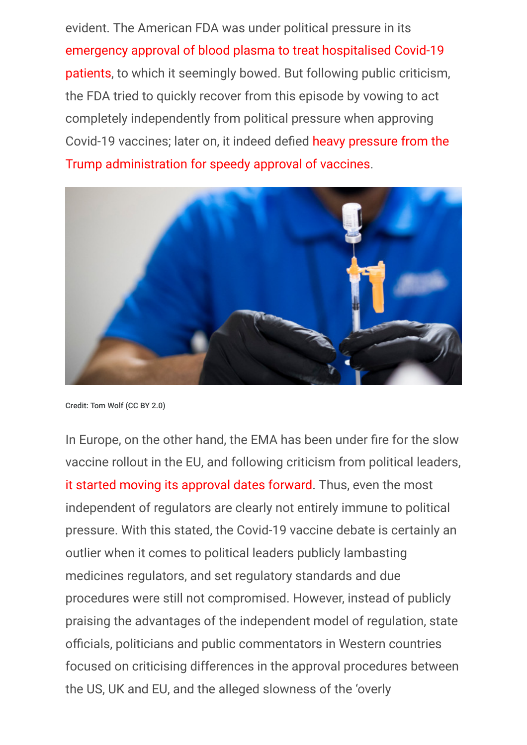evident. The American FDA was under political pressure in its emergency approval of blood plasma to treat hospitalised Covid-19 [patients, to which it seemingly bowed. But following public criticism](https://www.nytimes.com/2020/08/24/health/fda-blood-plasma.html), the FDA tried to quickly recover from this episode by vowing to act completely independently from political pressure when approving Covid-19 vaccines; later on, it indeed defied heavy pressure from the Trump administration for speedy approval of vaccines.



Credit: Tom Wolf (CC BY 2.0)

In Europe, on the other hand, the EMA has been under fire for the slow vaccine rollout in the EU, and following criticism from political leaders, [it started moving its approval dates forward.](https://www.politico.eu/article/the-vaccination-blame-game-is-it-all-the-eus-fault/) Thus, even the most independent of regulators are clearly not entirely immune to political pressure. With this stated, the Covid-19 vaccine debate is certainly an outlier when it comes to political leaders publicly lambasting medicines regulators, and set regulatory standards and due procedures were still not compromised. However, instead of publicly praising the advantages of the independent model of regulation, state officials, politicians and public commentators in Western countries focused on criticising differences in the approval procedures between the US, UK and EU, and the alleged slowness of the 'overly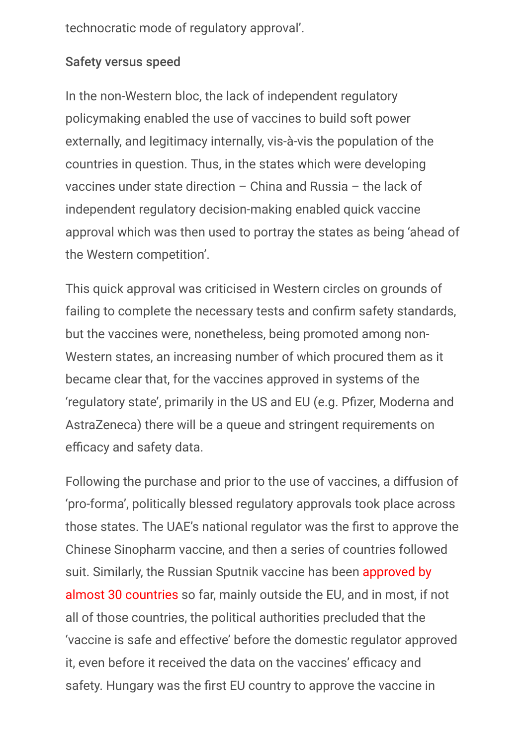technocratic mode of regulatory approval'.

## Safety versus speed

In the non-Western bloc, the lack of independent regulatory policymaking enabled the use of vaccines to build soft power externally, and legitimacy internally, vis-à-vis the population of the countries in question. Thus, in the states which were developing vaccines under state direction – China and Russia – the lack of independent regulatory decision-making enabled quick vaccine approval which was then used to portray the states as being 'ahead of the Western competition'.

This quick approval was criticised in Western circles on grounds of failing to complete the necessary tests and confirm safety standards, but the vaccines were, nonetheless, being promoted among non-Western states, an increasing number of which procured them as it became clear that, for the vaccines approved in systems of the 'regulatory state', primarily in the US and EU (e.g. Pfizer, Moderna and AstraZeneca) there will be a queue and stringent requirements on efficacy and safety data.

Following the purchase and prior to the use of vaccines, a diffusion of 'pro-forma', politically blessed regulatory approvals took place across those states. The UAE's national regulator was the first to approve the Chinese Sinopharm vaccine, and then a series of countries followed [suit. Similarly, the Russian Sputnik vaccine has been approved by](https://www.pharmiweb.com/press-release/2021-02-23/sputnik-v-authorized-in-30-countries) almost 30 countries so far, mainly outside the EU, and in most, if not all of those countries, the political authorities precluded that the 'vaccine is safe and effective' before the domestic regulator approved it, even before it received the data on the vaccines' efficacy and safety. Hungary was the first EU country to approve the vaccine in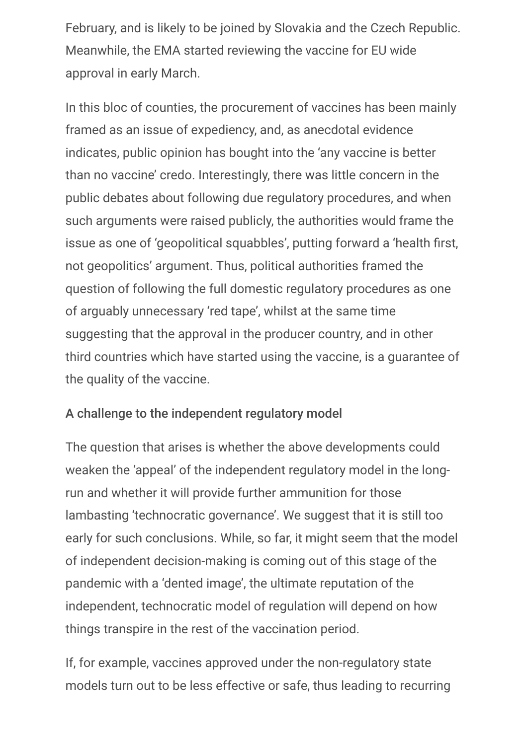February, and is likely to be joined by Slovakia and the Czech Republic. Meanwhile, the EMA started reviewing the vaccine for EU wide approval in early March.

In this bloc of counties, the procurement of vaccines has been mainly framed as an issue of expediency, and, as anecdotal evidence indicates, public opinion has bought into the 'any vaccine is better than no vaccine' credo. Interestingly, there was little concern in the public debates about following due regulatory procedures, and when such arguments were raised publicly, the authorities would frame the issue as one of 'geopolitical squabbles', putting forward a 'health first, not geopolitics' argument. Thus, political authorities framed the question of following the full domestic regulatory procedures as one of arguably unnecessary 'red tape', whilst at the same time suggesting that the approval in the producer country, and in other third countries which have started using the vaccine, is a guarantee of the quality of the vaccine.

#### A challenge to the independent regulatory model

The question that arises is whether the above developments could weaken the 'appeal' of the independent regulatory model in the longrun and whether it will provide further ammunition for those lambasting 'technocratic governance'. We suggest that it is still too early for such conclusions. While, so far, it might seem that the model of independent decision-making is coming out of this stage of the pandemic with a 'dented image', the ultimate reputation of the independent, technocratic model of regulation will depend on how things transpire in the rest of the vaccination period.

If, for example, vaccines approved under the non-regulatory state models turn out to be less effective or safe, thus leading to recurring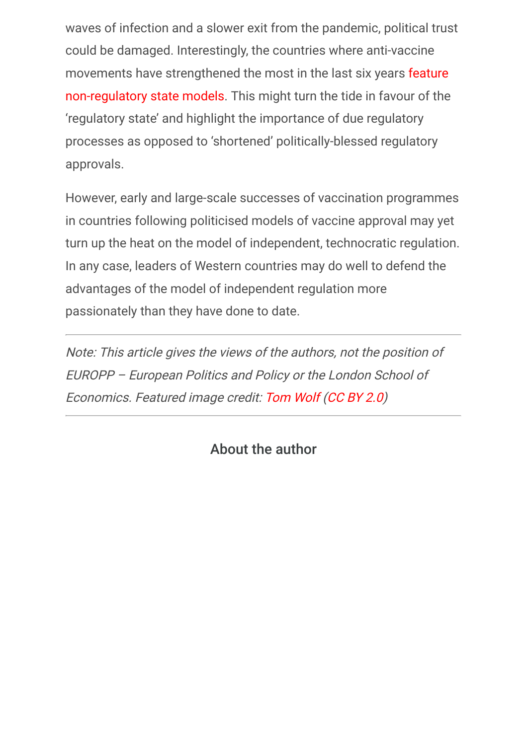waves of infection and a slower exit from the pandemic, political trust could be damaged. Interestingly, the countries where anti-vaccine [movements have strengthened the most in the last six years feature](https://www.thelancet.com/journals/lancet/article/PIIS0140-6736(20)31558-0/fulltext) non-regulatory state models. This might turn the tide in favour of the 'regulatory state' and highlight the importance of due regulatory processes as opposed to 'shortened' politically-blessed regulatory approvals.

However, early and large-scale successes of vaccination programmes in countries following politicised models of vaccine approval may yet turn up the heat on the model of independent, technocratic regulation. In any case, leaders of Western countries may do well to defend the advantages of the model of independent regulation more passionately than they have done to date.

Note: This article gives the views of the authors, not the position of EUROPP – European Politics and Policy or the London School of Economics. Featured image credit: [Tom Wolf](https://flickr.com/photos/governortomwolf/51023130253/) [\(CC BY 2.0\)](https://creativecommons.org/licenses/by/2.0/)

# About the author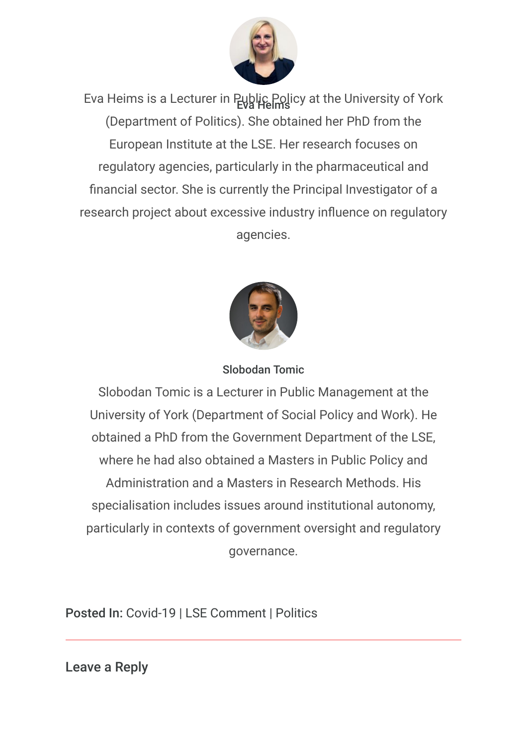

Eva Heims is a Lecturer in Public Policy at the University of York (Department of Politics). She obtained her PhD from the European Institute at the LSE. Her research focuses on regulatory agencies, particularly in the pharmaceutical and financial sector. She is currently the Principal Investigator of a research project about excessive industry influence on regulatory agencies.



Slobodan Tomic

Slobodan Tomic is a Lecturer in Public Management at the University of York (Department of Social Policy and Work). He obtained a PhD from the Government Department of the LSE, where he had also obtained a Masters in Public Policy and Administration and a Masters in Research Methods. His specialisation includes issues around institutional autonomy, particularly in contexts of government oversight and regulatory governance.

Posted In: Covid-19 | LSE Comment | Politics

<span id="page-7-0"></span>Leave a Reply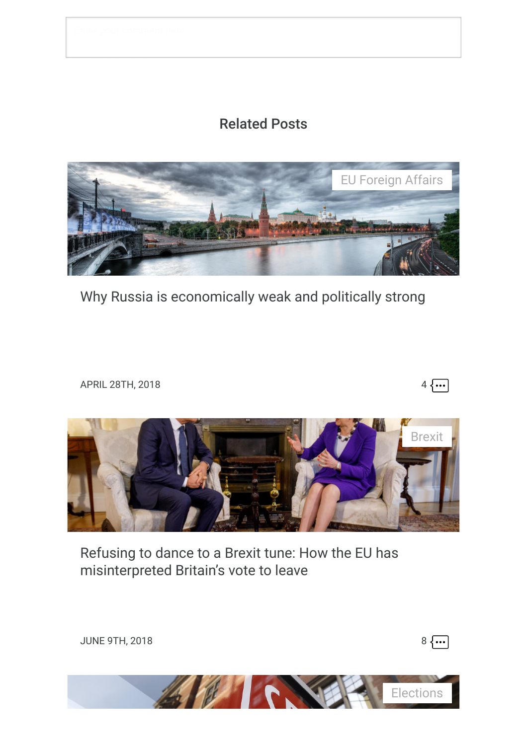## Related Posts



[Why Russia is economically weak and politically strong](https://blogs.lse.ac.uk/europpblog/2018/04/28/why-russia-is-economically-weak-and-politically-strong/)

APRIL 28TH, 2018  $4 \sqrt{...}$ 



[Refusing to dance to a Brexit tune: How the EU has](https://blogs.lse.ac.uk/europpblog/2018/06/09/refusing-to-dance-to-a-brexit-tune-how-the-eu-has-misinterpreted-britains-vote-to-leave/) misinterpreted Britain's vote to leave



JUNE 9TH, 2018  $8 \overline{\cdots}$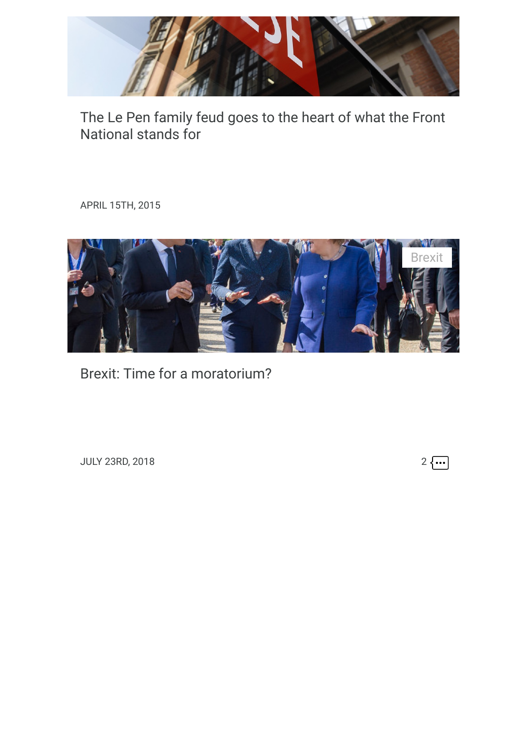

[The Le Pen family feud goes to the heart of what the Front](https://blogs.lse.ac.uk/europpblog/2015/04/15/the-le-pen-family-feud-goes-to-the-heart-of-what-the-front-national-stands-for/) National stands for

APRIL 15TH, 2015



[Brexit: Time for a moratorium?](https://blogs.lse.ac.uk/europpblog/2018/07/23/brexit-time-for-a-moratorium/)

JULY 23RD, 2018 2  $\cdots$